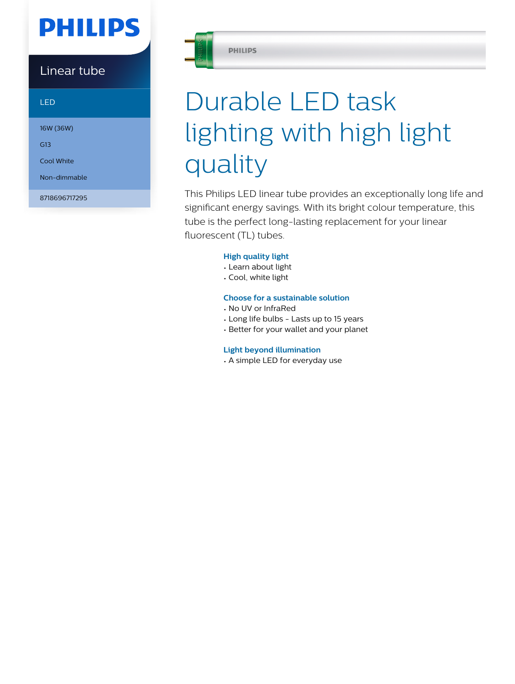# **PHILIPS**

# Linear tube

LED

16W (36W)

G13

Cool White

Non-dimmable

8718696717295



**PHILIPS** 

# Durable LED task lighting with high light quality

This Philips LED linear tube provides an exceptionally long life and significant energy savings. With its bright colour temperature, this tube is the perfect long-lasting replacement for your linear fluorescent (TL) tubes.

# **High quality light**

- Learn about light
- Cool, white light

# **Choose for a sustainable solution**

- No UV or InfraRed
- Long life bulbs Lasts up to 15 years
- Better for your wallet and your planet

# **Light beyond illumination**

• A simple LED for everyday use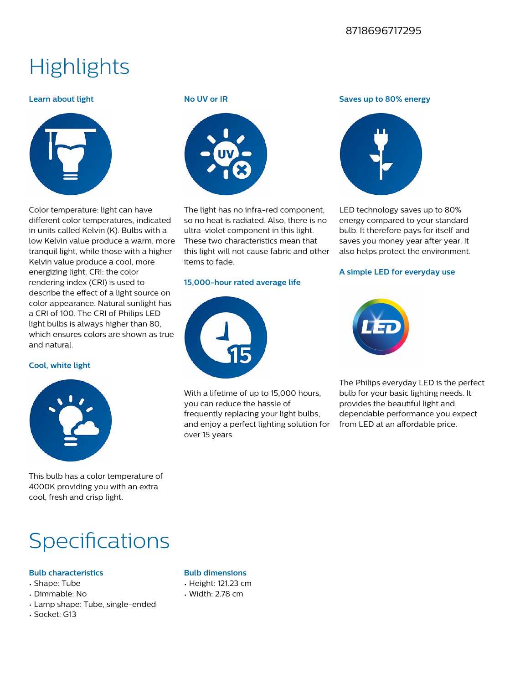# 8718696717295

# **Highlights**

#### **Learn about light**



Color temperature: light can have different color temperatures, indicated in units called Kelvin (K). Bulbs with a low Kelvin value produce a warm, more tranquil light, while those with a higher Kelvin value produce a cool, more energizing light. CRI: the color rendering index (CRI) is used to describe the effect of a light source on color appearance. Natural sunlight has a CRI of 100. The CRI of Philips LED light bulbs is always higher than 80, which ensures colors are shown as true and natural.

#### **Cool, white light**



This bulb has a color temperature of 4000K providing you with an extra cool, fresh and crisp light.

# **Specifications**

# **Bulb characteristics**

- Shape: Tube
- Dimmable: No
- Lamp shape: Tube, single-ended
- Socket: G13

#### **No UV or IR**



The light has no infra-red component, so no heat is radiated. Also, there is no ultra-violet component in this light. These two characteristics mean that this light will not cause fabric and other items to fade.

#### **15,000-hour rated average life**



**Bulb dimensions** • Height: 121.23 cm • Width: 2.78 cm

With a lifetime of up to 15,000 hours, you can reduce the hassle of frequently replacing your light bulbs, and enjoy a perfect lighting solution for over 15 years.

#### **Saves up to 80% energy**



LED technology saves up to 80% energy compared to your standard bulb. It therefore pays for itself and saves you money year after year. It also helps protect the environment.

#### **A simple LED for everyday use**



The Philips everyday LED is the perfect bulb for your basic lighting needs. It provides the beautiful light and dependable performance you expect from LED at an affordable price.